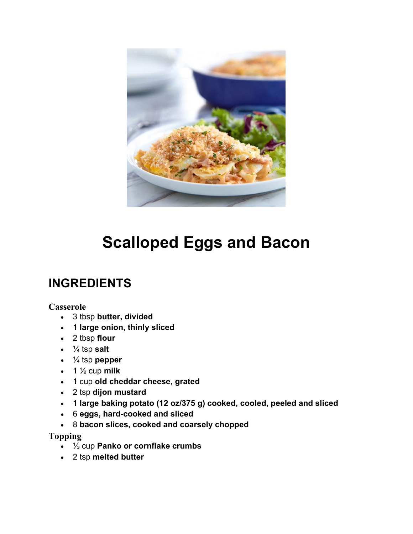

# **Scalloped Eggs and Bacon**

### **INGREDIENTS**

#### **Casserole**

- 3 tbsp **butter, divided**
- 1 **large onion, thinly sliced**
- 2 tbsp **flour**
- $\cdot$   $\frac{1}{4}$  tsp salt
- ¼ tsp **pepper**
- $\cdot$  1  $\frac{1}{2}$  cup **milk**
- 1 cup **old cheddar cheese, grated**
- 2 tsp **dijon mustard**
- 1 **large baking potato (12 oz/375 g) cooked, cooled, peeled and sliced**
- 6 **eggs, hard-cooked and sliced**
- 8 **bacon slices, cooked and coarsely chopped**

#### **Topping**

- ⅓ cup **Panko or cornflake crumbs**
- 2 tsp **melted butter**